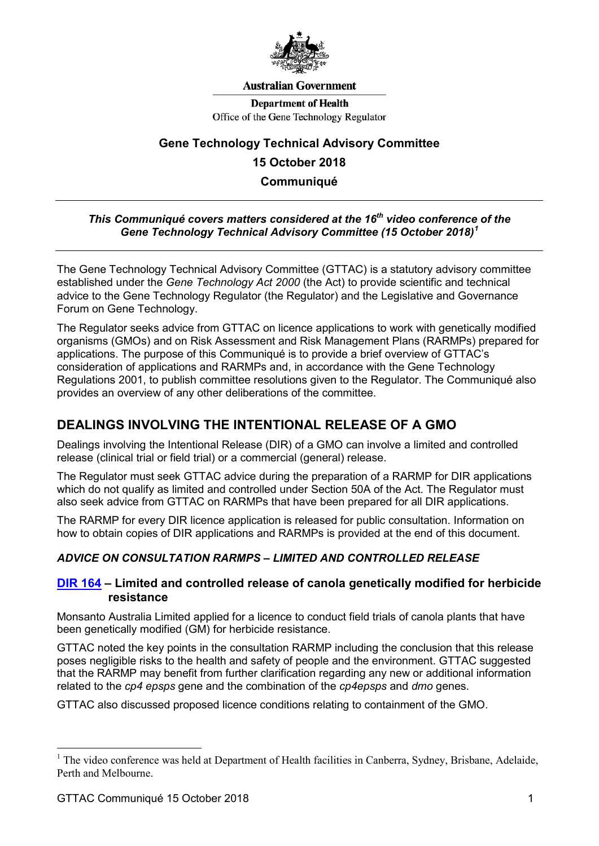

#### **Australian Government**

**Department of Health** Office of the Gene Technology Regulator

# **Gene Technology Technical Advisory Committee 15 October 2018 Communiqué**

## *This Communiqué covers matters considered at the 16th video conference of the Gene Technology Technical Advisory Committee (15 October 2018) [1](#page-0-0)*

The Gene Technology Technical Advisory Committee (GTTAC) is a statutory advisory committee established under the *Gene Technology Act 2000* (the Act) to provide scientific and technical advice to the Gene Technology Regulator (the Regulator) and the Legislative and Governance Forum on Gene Technology.

The Regulator seeks advice from GTTAC on licence applications to work with genetically modified organisms (GMOs) and on Risk Assessment and Risk Management Plans (RARMPs) prepared for applications. The purpose of this Communiqué is to provide a brief overview of GTTAC's consideration of applications and RARMPs and, in accordance with the Gene Technology Regulations 2001, to publish committee resolutions given to the Regulator. The Communiqué also provides an overview of any other deliberations of the committee.

# **DEALINGS INVOLVING THE INTENTIONAL RELEASE OF A GMO**

Dealings involving the Intentional Release (DIR) of a GMO can involve a limited and controlled release (clinical trial or field trial) or a commercial (general) release.

The Regulator must seek GTTAC advice during the preparation of a RARMP for DIR applications which do not qualify as limited and controlled under Section 50A of the Act. The Regulator must also seek advice from GTTAC on RARMPs that have been prepared for all DIR applications.

The RARMP for every DIR licence application is released for public consultation. Information on how to obtain copies of DIR applications and RARMPs is provided at the end of this document.

## *ADVICE ON CONSULTATION RARMPS – LIMITED AND CONTROLLED RELEASE*

#### **[DIR 164](http://www.ogtr.gov.au/internet/ogtr/publishing.nsf/Content/DIR164) – Limited and controlled release of canola genetically modified for herbicide resistance**

Monsanto Australia Limited applied for a licence to conduct field trials of canola plants that have been genetically modified (GM) for herbicide resistance.

GTTAC noted the key points in the consultation RARMP including the conclusion that this release poses negligible risks to the health and safety of people and the environment. GTTAC suggested that the RARMP may benefit from further clarification regarding any new or additional information related to the *cp4 epsps* gene and the combination of the *cp4epsps* and *dmo* genes.

GTTAC also discussed proposed licence conditions relating to containment of the GMO.

<span id="page-0-0"></span><sup>&</sup>lt;sup>1</sup> The video conference was held at Department of Health facilities in Canberra, Sydney, Brisbane, Adelaide, Perth and Melbourne.